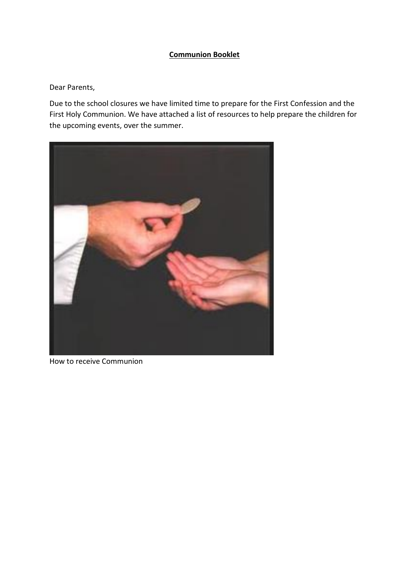# **Communion Booklet**

## Dear Parents,

Due to the school closures we have limited time to prepare for the First Confession and the First Holy Communion. We have attached a list of resources to help prepare the children for the upcoming events, over the summer.



How to receive Communion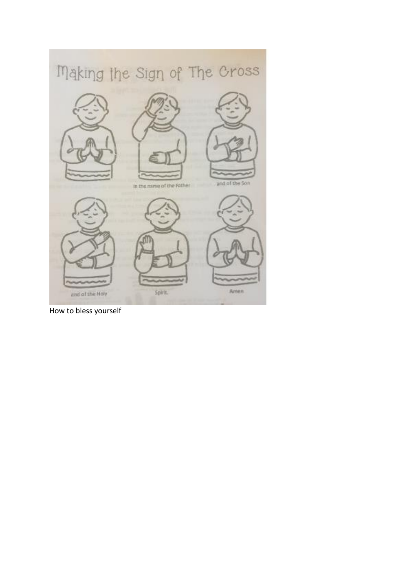

How to bless yourself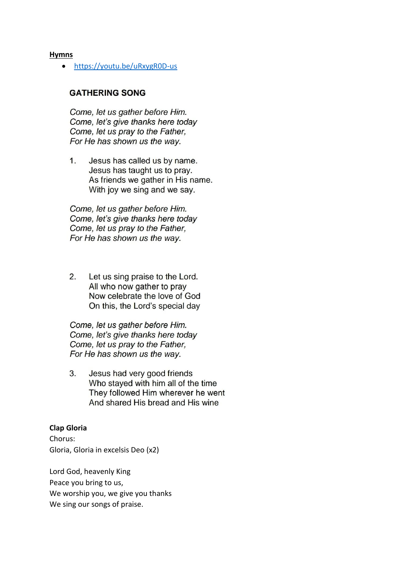### **Hymns**

<https://youtu.be/uRxygR0D-us>

## **GATHERING SONG**

Come, let us gather before Him. Come, let's give thanks here today Come, let us pray to the Father, For He has shown us the way.

 $1.$ Jesus has called us by name. Jesus has taught us to pray. As friends we gather in His name. With joy we sing and we say.

Come, let us gather before Him. Come, let's give thanks here today Come, let us pray to the Father, For He has shown us the way.

 $2.$ Let us sing praise to the Lord. All who now gather to pray Now celebrate the love of God On this, the Lord's special day

Come, let us gather before Him. Come, let's give thanks here today Come, let us pray to the Father, For He has shown us the way.

3. Jesus had very good friends Who stayed with him all of the time They followed Him wherever he went And shared His bread and His wine

### **Clap Gloria**

Chorus: Gloria, Gloria in excelsis Deo (x2)

Lord God, heavenly King Peace you bring to us, We worship you, we give you thanks We sing our songs of praise.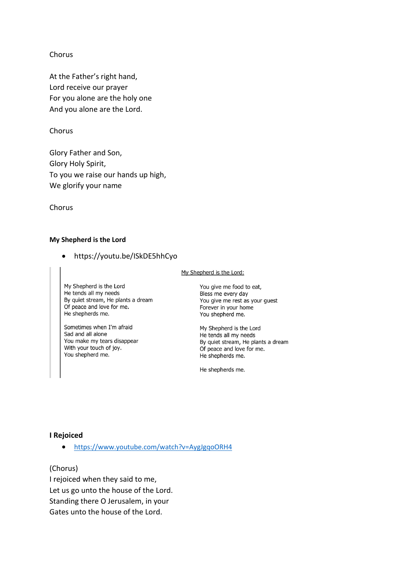### Chorus

At the Father's right hand, Lord receive our prayer For you alone are the holy one And you alone are the Lord.

### Chorus

Glory Father and Son, Glory Holy Spirit, To you we raise our hands up high, We glorify your name

Chorus

### **My Shepherd is the Lord**

https://youtu.be/ISkDE5hhCyo

#### My Shepherd is the Lord:

My Shepherd is the Lord He tends all my needs By quiet stream, He plants a dream Of peace and love for me. He shepherds me.

Sometimes when I'm afraid Sad and all alone You make my tears disappear With your touch of joy. You shepherd me.

You give me food to eat, Bless me every day You give me rest as your guest Forever in your home You shepherd me.

My Shepherd is the Lord He tends all my needs By quiet stream, He plants a dream Of peace and love for me. He shepherds me.

He shepherds me.

### **I Rejoiced**

<https://www.youtube.com/watch?v=AygJgqoORH4>

## (Chorus)

I rejoiced when they said to me, Let us go unto the house of the Lord. Standing there O Jerusalem, in your Gates unto the house of the Lord.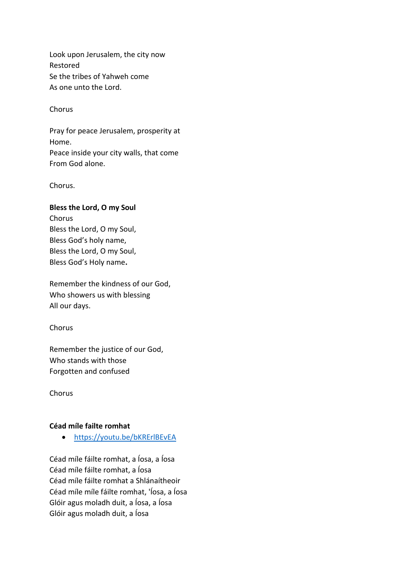Look upon Jerusalem, the city now Restored Se the tribes of Yahweh come As one unto the Lord.

Chorus

Pray for peace Jerusalem, prosperity at Home. Peace inside your city walls, that come From God alone.

Chorus.

# **Bless the Lord, O my Soul**

Chorus Bless the Lord, O my Soul, Bless God's holy name, Bless the Lord, O my Soul, Bless God's Holy name**.**

Remember the kindness of our God, Who showers us with blessing All our days.

Chorus

Remember the justice of our God, Who stands with those Forgotten and confused

Chorus

# **Céad míle failte romhat**

<https://youtu.be/bKRErlBEvEA>

Céad míle fáilte romhat, a Íosa, a Íosa Céad míle fáilte romhat, a Íosa Céad míle fáilte romhat a Shlánaítheoir Céad míle míle fáilte romhat, 'Íosa, a Íosa Glóir agus moladh duit, a Íosa, a Íosa Glóir agus moladh duit, a Íosa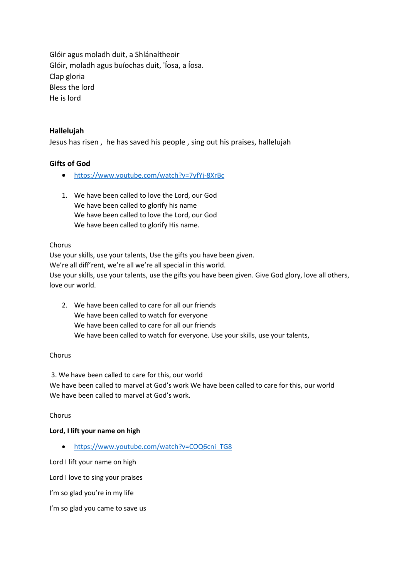Glóir agus moladh duit, a Shlánaítheoir Glóir, moladh agus buíochas duit, 'Íosa, a Íosa. Clap gloria Bless the lord He is lord

## **Hallelujah**

Jesus has risen , he has saved his people , sing out his praises, hallelujah

### **Gifts of God**

- <https://www.youtube.com/watch?v=7yfYj-8XrBc>
- 1. We have been called to love the Lord, our God We have been called to glorify his name We have been called to love the Lord, our God We have been called to glorify His name.

### Chorus

Use your skills, use your talents, Use the gifts you have been given. We're all diff'rent, we're all we're all special in this world. Use your skills, use your talents, use the gifts you have been given. Give God glory, love all others, love our world.

2. We have been called to care for all our friends We have been called to watch for everyone We have been called to care for all our friends We have been called to watch for everyone. Use your skills, use your talents,

### Chorus

3. We have been called to care for this, our world We have been called to marvel at God's work We have been called to care for this, our world We have been called to marvel at God's work.

### Chorus

### **Lord, I lift your name on high**

● [https://www.youtube.com/watch?v=COQ6cni\\_TG8](https://www.youtube.com/watch?v=COQ6cni_TG8)

Lord I lift your name on high

Lord I love to sing your praises

I'm so glad you're in my life

I'm so glad you came to save us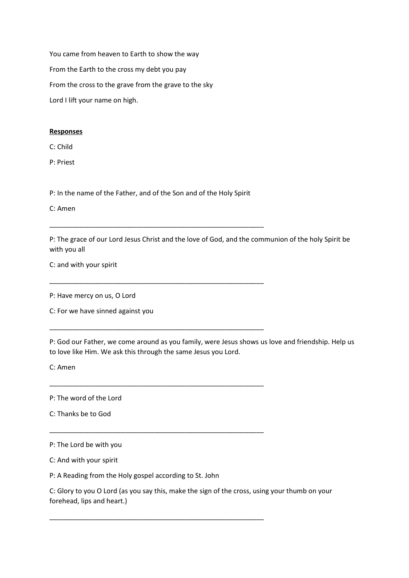You came from heaven to Earth to show the way From the Earth to the cross my debt you pay From the cross to the grave from the grave to the sky Lord I lift your name on high.

#### **Responses**

C: Child

P: Priest

P: In the name of the Father, and of the Son and of the Holy Spirit

\_\_\_\_\_\_\_\_\_\_\_\_\_\_\_\_\_\_\_\_\_\_\_\_\_\_\_\_\_\_\_\_\_\_\_\_\_\_\_\_\_\_\_\_\_\_\_\_\_\_\_\_\_\_\_\_\_

\_\_\_\_\_\_\_\_\_\_\_\_\_\_\_\_\_\_\_\_\_\_\_\_\_\_\_\_\_\_\_\_\_\_\_\_\_\_\_\_\_\_\_\_\_\_\_\_\_\_\_\_\_\_\_\_\_

\_\_\_\_\_\_\_\_\_\_\_\_\_\_\_\_\_\_\_\_\_\_\_\_\_\_\_\_\_\_\_\_\_\_\_\_\_\_\_\_\_\_\_\_\_\_\_\_\_\_\_\_\_\_\_\_\_

\_\_\_\_\_\_\_\_\_\_\_\_\_\_\_\_\_\_\_\_\_\_\_\_\_\_\_\_\_\_\_\_\_\_\_\_\_\_\_\_\_\_\_\_\_\_\_\_\_\_\_\_\_\_\_\_\_

\_\_\_\_\_\_\_\_\_\_\_\_\_\_\_\_\_\_\_\_\_\_\_\_\_\_\_\_\_\_\_\_\_\_\_\_\_\_\_\_\_\_\_\_\_\_\_\_\_\_\_\_\_\_\_\_\_

\_\_\_\_\_\_\_\_\_\_\_\_\_\_\_\_\_\_\_\_\_\_\_\_\_\_\_\_\_\_\_\_\_\_\_\_\_\_\_\_\_\_\_\_\_\_\_\_\_\_\_\_\_\_\_\_\_

C: Amen

P: The grace of our Lord Jesus Christ and the love of God, and the communion of the holy Spirit be with you all

C: and with your spirit

P: Have mercy on us, O Lord

C: For we have sinned against you

P: God our Father, we come around as you family, were Jesus shows us love and friendship. Help us to love like Him. We ask this through the same Jesus you Lord.

C: Amen

P: The word of the Lord

C: Thanks be to God

P: The Lord be with you

C: And with your spirit

P: A Reading from the Holy gospel according to St. John

C: Glory to you O Lord (as you say this, make the sign of the cross, using your thumb on your forehead, lips and heart.)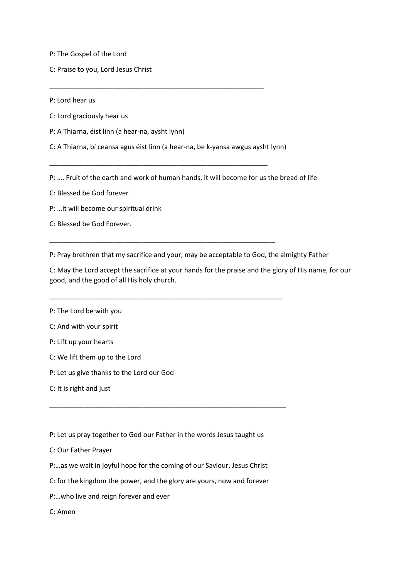P: The Gospel of the Lord

C: Praise to you, Lord Jesus Christ

P: Lord hear us

- C: Lord graciously hear us
- P: A Thiarna, éist linn (a hear-na, aysht lynn)
- C: A Thiarna, bí ceansa agus éist linn (a hear-na, be k-yansa awgus aysht lynn)

\_\_\_\_\_\_\_\_\_\_\_\_\_\_\_\_\_\_\_\_\_\_\_\_\_\_\_\_\_\_\_\_\_\_\_\_\_\_\_\_\_\_\_\_\_\_\_\_\_\_\_\_\_\_\_\_\_\_

\_\_\_\_\_\_\_\_\_\_\_\_\_\_\_\_\_\_\_\_\_\_\_\_\_\_\_\_\_\_\_\_\_\_\_\_\_\_\_\_\_\_\_\_\_\_\_\_\_\_\_\_\_\_\_\_\_\_\_\_

\_\_\_\_\_\_\_\_\_\_\_\_\_\_\_\_\_\_\_\_\_\_\_\_\_\_\_\_\_\_\_\_\_\_\_\_\_\_\_\_\_\_\_\_\_\_\_\_\_\_\_\_\_\_\_\_\_\_\_\_\_\_

\_\_\_\_\_\_\_\_\_\_\_\_\_\_\_\_\_\_\_\_\_\_\_\_\_\_\_\_\_\_\_\_\_\_\_\_\_\_\_\_\_\_\_\_\_\_\_\_\_\_\_\_\_\_\_\_\_

P: …. Fruit of the earth and work of human hands, it will become for us the bread of life

- C: Blessed be God forever
- P: …it will become our spiritual drink
- C: Blessed be God Forever.

P: Pray brethren that my sacrifice and your, may be acceptable to God, the almighty Father

C: May the Lord accept the sacrifice at your hands for the praise and the glory of His name, for our good, and the good of all His holy church.

- P: The Lord be with you
- C: And with your spirit
- P: Lift up your hearts
- C: We lift them up to the Lord
- P: Let us give thanks to the Lord our God
- C: It is right and just

P: Let us pray together to God our Father in the words Jesus taught us

\_\_\_\_\_\_\_\_\_\_\_\_\_\_\_\_\_\_\_\_\_\_\_\_\_\_\_\_\_\_\_\_\_\_\_\_\_\_\_\_\_\_\_\_\_\_\_\_\_\_\_\_\_\_\_\_\_\_\_\_\_\_\_

- C: Our Father Prayer
- P:…as we wait in joyful hope for the coming of our Saviour, Jesus Christ
- C: for the kingdom the power, and the glory are yours, now and forever
- P:…who live and reign forever and ever
- C: Amen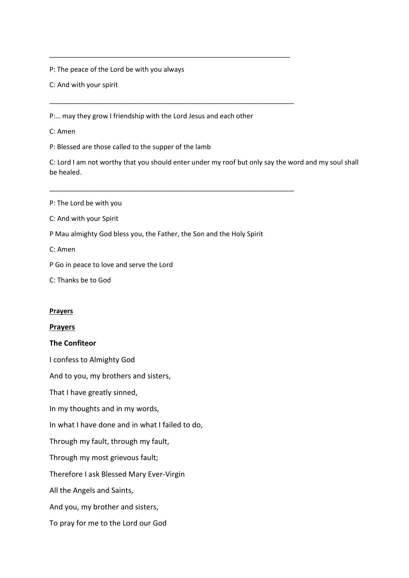P: The peace of the Lord be with you always

C: And with your spirit

P:… may they grow I friendship with the Lord Jesus and each other

\_\_\_\_\_\_\_\_\_\_\_\_\_\_\_\_\_\_\_\_\_\_\_\_\_\_\_\_\_\_\_\_\_\_\_\_\_\_\_\_\_\_\_\_\_\_\_\_\_\_\_\_\_\_\_\_\_\_\_\_\_\_\_\_

\_\_\_\_\_\_\_\_\_\_\_\_\_\_\_\_\_\_\_\_\_\_\_\_\_\_\_\_\_\_\_\_\_\_\_\_\_\_\_\_\_\_\_\_\_\_\_\_\_\_\_\_\_\_\_\_\_\_\_\_\_\_\_\_\_

\_\_\_\_\_\_\_\_\_\_\_\_\_\_\_\_\_\_\_\_\_\_\_\_\_\_\_\_\_\_\_\_\_\_\_\_\_\_\_\_\_\_\_\_\_\_\_\_\_\_\_\_\_\_\_\_\_\_\_\_\_\_\_\_\_

C: Amen

P: Blessed are those called to the supper of the lamb

C: Lord I am not worthy that you should enter under my roof but only say the word and my soul shall be healed.

P: The Lord be with you

C: And with your Spirit

P Mau almighty God bless you, the Father, the Son and the Holy Spirit

C: Amen

P Go in peace to love and serve the Lord

C: Thanks be to God

### **Prayers**

**Prayers**

## **The Confiteor**

I confess to Almighty God

And to you, my brothers and sisters,

That I have greatly sinned,

In my thoughts and in my words,

In what I have done and in what I failed to do,

Through my fault, through my fault,

Through my most grievous fault;

Therefore I ask Blessed Mary Ever-Virgin

All the Angels and Saints,

And you, my brother and sisters,

To pray for me to the Lord our God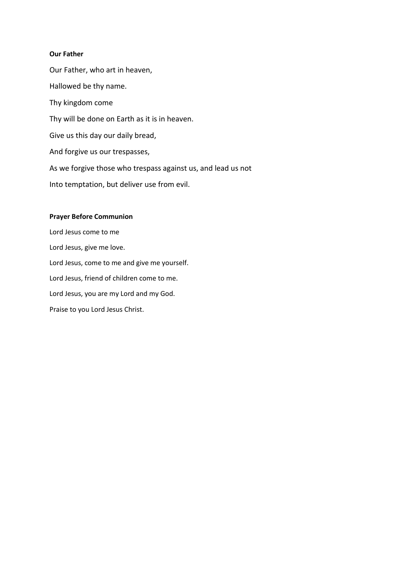#### **Our Father**

Our Father, who art in heaven, Hallowed be thy name. Thy kingdom come Thy will be done on Earth as it is in heaven. Give us this day our daily bread, And forgive us our trespasses, As we forgive those who trespass against us, and lead us not Into temptation, but deliver use from evil.

### **Prayer Before Communion**

Lord Jesus come to me Lord Jesus, give me love. Lord Jesus, come to me and give me yourself. Lord Jesus, friend of children come to me. Lord Jesus, you are my Lord and my God. Praise to you Lord Jesus Christ.